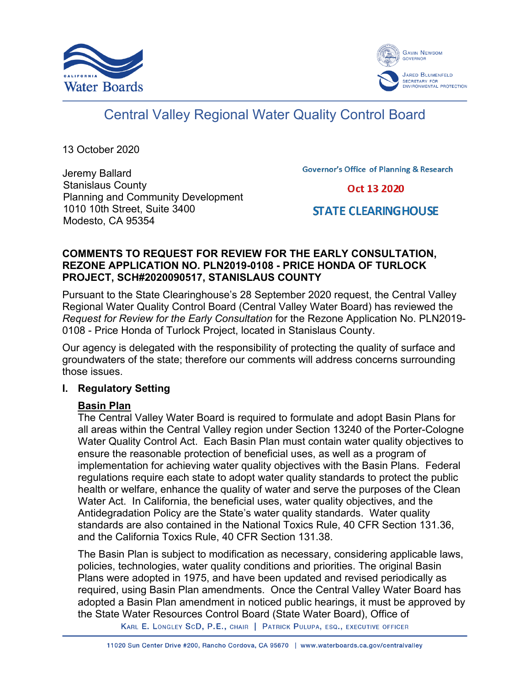



# Central Valley Regional Water Quality Control Board

13 October 2020

Jeremy Ballard Stanislaus County Planning and Community Development 1010 10th Street, Suite 3400 Modesto, CA 95354

**Governor's Office of Planning & Research** 

Oct 13 2020

## **STATE CLEARING HOUSE**

#### **COMMENTS TO REQUEST FOR REVIEW FOR THE EARLY CONSULTATION, REZONE APPLICATION NO. PLN2019-0108 - PRICE HONDA OF TURLOCK PROJECT, SCH#2020090517, STANISLAUS COUNTY**

Pursuant to the State Clearinghouse's 28 September 2020 request, the Central Valley Regional Water Quality Control Board (Central Valley Water Board) has reviewed the *Request for Review for the Early Consultation* for the Rezone Application No. PLN2019- 0108 - Price Honda of Turlock Project, located in Stanislaus County.

Our agency is delegated with the responsibility of protecting the quality of surface and groundwaters of the state; therefore our comments will address concerns surrounding those issues.

## **I. Regulatory Setting**

## **Basin Plan**

The Central Valley Water Board is required to formulate and adopt Basin Plans for all areas within the Central Valley region under Section 13240 of the Porter-Cologne Water Quality Control Act. Each Basin Plan must contain water quality objectives to ensure the reasonable protection of beneficial uses, as well as a program of implementation for achieving water quality objectives with the Basin Plans. Federal regulations require each state to adopt water quality standards to protect the public health or welfare, enhance the quality of water and serve the purposes of the Clean Water Act. In California, the beneficial uses, water quality objectives, and the Antidegradation Policy are the State's water quality standards. Water quality standards are also contained in the National Toxics Rule, 40 CFR Section 131.36, and the California Toxics Rule, 40 CFR Section 131.38.

The Basin Plan is subject to modification as necessary, considering applicable laws, policies, technologies, water quality conditions and priorities. The original Basin Plans were adopted in 1975, and have been updated and revised periodically as required, using Basin Plan amendments. Once the Central Valley Water Board has adopted a Basin Plan amendment in noticed public hearings, it must be approved by the State Water Resources Control Board (State Water Board), Office of

KARL E. LONGLEY SCD, P.E., CHAIR | PATRICK PULUPA, ESQ., EXECUTIVE OFFICER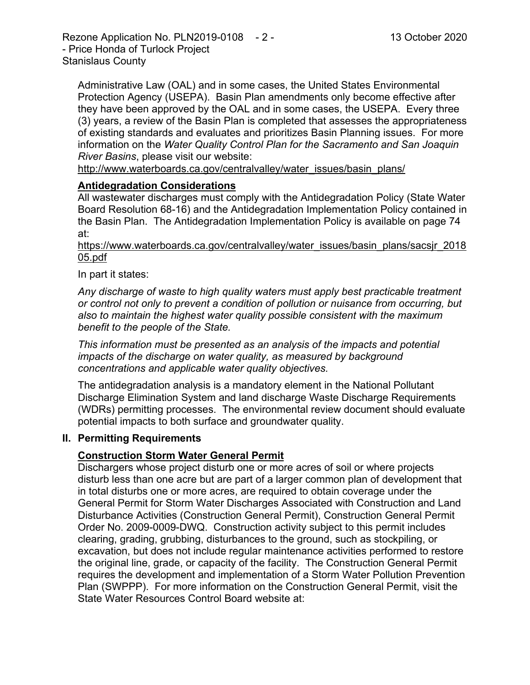Administrative Law (OAL) and in some cases, the United States Environmental Protection Agency (USEPA). Basin Plan amendments only become effective after they have been approved by the OAL and in some cases, the USEPA. Every three (3) years, a review of the Basin Plan is completed that assesses the appropriateness of existing standards and evaluates and prioritizes Basin Planning issues. For more information on the *Water Quality Control Plan for the Sacramento and San Joaquin River Basins*, please visit our website:

[http://www.waterboards.ca.gov/centralvalley/water\\_issues/basin\\_plans/](http://www.waterboards.ca.gov/centralvalley/water_issues/basin_plans/)

#### **Antidegradation Considerations**

All wastewater discharges must comply with the Antidegradation Policy (State Water Board Resolution 68-16) and the Antidegradation Implementation Policy contained in the Basin Plan. The Antidegradation Implementation Policy is available on page 74 at:

#### https://www.waterboards.ca.gov/centralvalley/water\_issues/basin\_plans/sacsjr\_2018 05.pdf

#### In part it states:

*Any discharge of waste to high quality waters must apply best practicable treatment or control not only to prevent a condition of pollution or nuisance from occurring, but also to maintain the highest water quality possible consistent with the maximum benefit to the people of the State.*

*This information must be presented as an analysis of the impacts and potential impacts of the discharge on water quality, as measured by background concentrations and applicable water quality objectives.*

The antidegradation analysis is a mandatory element in the National Pollutant Discharge Elimination System and land discharge Waste Discharge Requirements (WDRs) permitting processes. The environmental review document should evaluate potential impacts to both surface and groundwater quality.

#### **II. Permitting Requirements**

## **Construction Storm Water General Permit**

Dischargers whose project disturb one or more acres of soil or where projects disturb less than one acre but are part of a larger common plan of development that in total disturbs one or more acres, are required to obtain coverage under the General Permit for Storm Water Discharges Associated with Construction and Land Disturbance Activities (Construction General Permit), Construction General Permit Order No. 2009-0009-DWQ. Construction activity subject to this permit includes clearing, grading, grubbing, disturbances to the ground, such as stockpiling, or excavation, but does not include regular maintenance activities performed to restore the original line, grade, or capacity of the facility. The Construction General Permit requires the development and implementation of a Storm Water Pollution Prevention Plan (SWPPP). For more information on the Construction General Permit, visit the State Water Resources Control Board website at: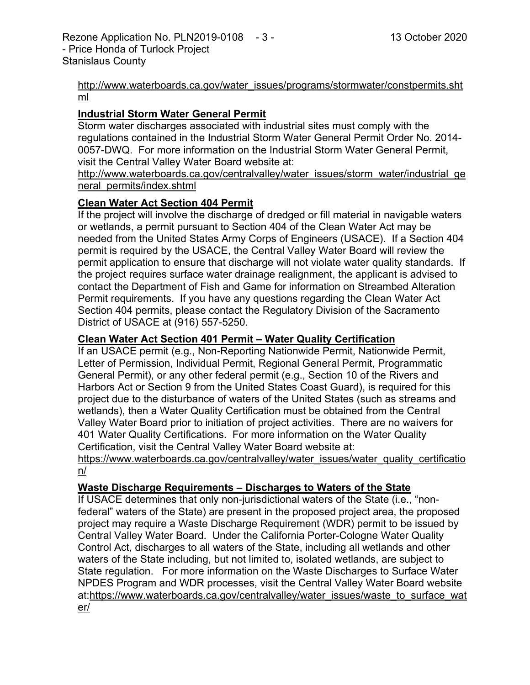#### [http://www.waterboards.ca.gov/water\\_issues/programs/stormwater/constpermits.sht](http://www.waterboards.ca.gov/water_issues/programs/stormwater/constpermits.shtml) [ml](http://www.waterboards.ca.gov/water_issues/programs/stormwater/constpermits.shtml)

## **Industrial Storm Water General Permit**

Storm water discharges associated with industrial sites must comply with the regulations contained in the Industrial Storm Water General Permit Order No. 2014- 0057-DWQ. For more information on the Industrial Storm Water General Permit, visit the Central Valley Water Board website at:

http://www.waterboards.ca.gov/centralvalley/water\_issues/storm\_water/industrial\_ge neral\_permits/index.shtml

#### **Clean Water Act Section 404 Permit**

If the project will involve the discharge of dredged or fill material in navigable waters or wetlands, a permit pursuant to Section 404 of the Clean Water Act may be needed from the United States Army Corps of Engineers (USACE). If a Section 404 permit is required by the USACE, the Central Valley Water Board will review the permit application to ensure that discharge will not violate water quality standards. If the project requires surface water drainage realignment, the applicant is advised to contact the Department of Fish and Game for information on Streambed Alteration Permit requirements. If you have any questions regarding the Clean Water Act Section 404 permits, please contact the Regulatory Division of the Sacramento District of USACE at (916) 557-5250.

#### **Clean Water Act Section 401 Permit – Water Quality Certification**

If an USACE permit (e.g., Non-Reporting Nationwide Permit, Nationwide Permit, Letter of Permission, Individual Permit, Regional General Permit, Programmatic General Permit), or any other federal permit (e.g., Section 10 of the Rivers and Harbors Act or Section 9 from the United States Coast Guard), is required for this project due to the disturbance of waters of the United States (such as streams and wetlands), then a Water Quality Certification must be obtained from the Central Valley Water Board prior to initiation of project activities. There are no waivers for 401 Water Quality Certifications. For more information on the Water Quality Certification, visit the Central Valley Water Board website at:

https://www.waterboards.ca.gov/centralvalley/water\_issues/water\_quality\_certificatio n/

## **Waste Discharge Requirements – Discharges to Waters of the State**

If USACE determines that only non-jurisdictional waters of the State (i.e., "nonfederal" waters of the State) are present in the proposed project area, the proposed project may require a Waste Discharge Requirement (WDR) permit to be issued by Central Valley Water Board. Under the California Porter-Cologne Water Quality Control Act, discharges to all waters of the State, including all wetlands and other waters of the State including, but not limited to, isolated wetlands, are subject to State regulation. For more information on the Waste Discharges to Surface Water NPDES Program and WDR processes, visit the Central Valley Water Board website at:https://www.waterboards.ca.gov/centralvalley/water\_issues/waste\_to\_surface\_wat er/